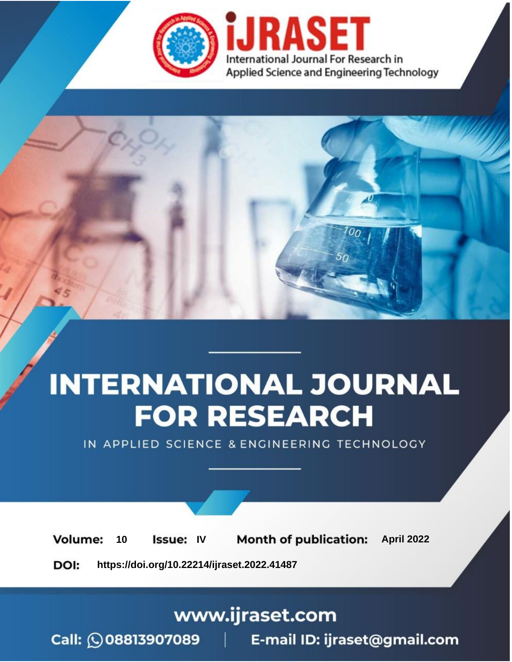

# **INTERNATIONAL JOURNAL FOR RESEARCH**

IN APPLIED SCIENCE & ENGINEERING TECHNOLOGY

10 **Issue: IV Month of publication:** April 2022 **Volume:** 

**https://doi.org/10.22214/ijraset.2022.41487**DOI:

www.ijraset.com

Call: 008813907089 | E-mail ID: ijraset@gmail.com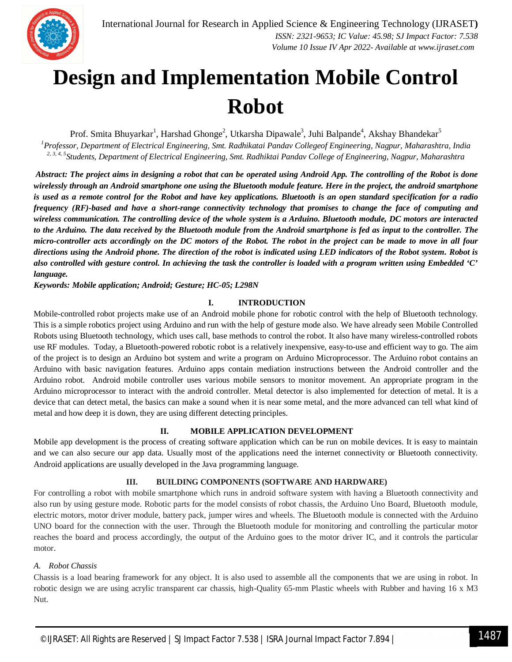

### **Design and Implementation Mobile Control Robot**

Prof. Smita Bhuyarkar<sup>1</sup>, Harshad Ghonge<sup>2</sup>, Utkarsha Dipawale<sup>3</sup>, Juhi Balpande<sup>4</sup>, Akshay Bhandekar<sup>5</sup>

*<sup>1</sup>Professor, Department of Electrical Engineering, Smt. Radhikatai Pandav Collegeof Engineering, Nagpur, Maharashtra, India 2, 3, 4, 5 Students, Department of Electrical Engineering, Smt. Radhiktai Pandav College of Engineering, Nagpur, Maharashtra*

*Abstract: The project aims in designing a robot that can be operated using Android App. The controlling of the Robot is done wirelessly through an Android smartphone one using the Bluetooth module feature. Here in the project, the android smartphone is used as a remote control for the Robot and have key applications. Bluetooth is an open standard specification for a radio frequency (RF)-based and have a short-range connectivity technology that promises to change the face of computing and wireless communication. The controlling device of the whole system is a Arduino. Bluetooth module, DC motors are interacted to the Arduino. The data received by the Bluetooth module from the Android smartphone is fed as input to the controller. The micro-controller acts accordingly on the DC motors of the Robot. The robot in the project can be made to move in all four directions using the Android phone. The direction of the robot is indicated using LED indicators of the Robot system. Robot is also controlled with gesture control. In achieving the task the controller is loaded with a program written using Embedded 'C' language.*

*Keywords: Mobile application; Android; Gesture; HC-05; L298N*

#### **I. INTRODUCTION**

Mobile-controlled robot projects make use of an Android mobile phone for robotic control with the help of Bluetooth technology. This is a simple robotics project using Arduino and run with the help of gesture mode also. We have already seen Mobile Controlled Robots using Bluetooth technology, which uses call, base methods to control the robot. It also have many wireless-controlled robots use RF modules. Today, a Bluetooth-powered robotic robot is a relatively inexpensive, easy-to-use and efficient way to go. The aim of the project is to design an Arduino bot system and write a program on Arduino Microprocessor. The Arduino robot contains an Arduino with basic navigation features. Arduino apps contain mediation instructions between the Android controller and the Arduino robot. Android mobile controller uses various mobile sensors to monitor movement. An appropriate program in the Arduino microprocessor to interact with the android controller. Metal detector is also implemented for detection of metal. It is a device that can detect metal, the basics can make a sound when it is near some metal, and the more advanced can tell what kind of metal and how deep it is down, they are using different detecting principles.

#### **II. MOBILE APPLICATION DEVELOPMENT**

Mobile app development is the process of creating software application which can be run on mobile devices. It is easy to maintain and we can also secure our app data. Usually most of the applications need the internet connectivity or Bluetooth connectivity. Android applications are usually developed in the Java programming language.

#### **III. BUILDING COMPONENTS (SOFTWARE AND HARDWARE)**

For controlling a robot with mobile smartphone which runs in android software system with having a Bluetooth connectivity and also run by using gesture mode. Robotic parts for the model consists of robot chassis, the Arduino Uno Board, Bluetooth module, electric motors, motor driver module, battery pack, jumper wires and wheels. The Bluetooth module is connected with the Arduino UNO board for the connection with the user. Through the Bluetooth module for monitoring and controlling the particular motor reaches the board and process accordingly, the output of the Arduino goes to the motor driver IC, and it controls the particular motor.

#### *A. Robot Chassis*

Chassis is a load bearing framework for any object. It is also used to assemble all the components that we are using in robot. In robotic design we are using acrylic transparent car chassis, high-Quality 65-mm Plastic wheels with Rubber and having 16 x M3 Nut.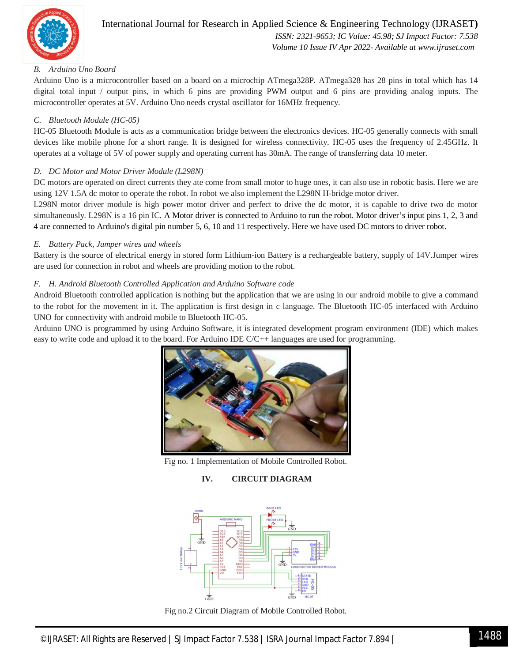

#### International Journal for Research in Applied Science & Engineering Technology (IJRASET**)**  *ISSN: 2321-9653; IC Value: 45.98; SJ Impact Factor: 7.538 Volume 10 Issue IV Apr 2022- Available at www.ijraset.com*

#### *B. Arduino Uno Board*

Arduino Uno is a microcontroller based on a board on a microchip ATmega328P*.* ATmega328 has 28 pins in total which has 14 digital total input / output pins, in which 6 pins are providing PWM output and 6 pins are providing analog inputs. The microcontroller operates at 5V. Arduino Uno needs crystal oscillator for 16MHz frequency.

#### *C. Bluetooth Module (HC-05)*

HC-05 Bluetooth Module is acts as a communication bridge between the electronics devices. HC-05 generally connects with small devices like mobile phone for a short range. It is designed for wireless connectivity. HC-05 uses the frequency of 2.45GHz. It operates at a voltage of 5V of power supply and operating current has 30mA. The range of transferring data 10 meter.

#### *D. DC Motor and Motor Driver Module (L298N)*

DC motors are operated on direct currents they ate come from small motor to huge ones, it can also use in robotic basis. Here we are using 12V 1.5A dc motor to operate the robot. In robot we also implement the L298N H-bridge motor driver.

L298N motor driver module is high power motor driver and perfect to drive the dc motor, it is capable to drive two dc motor simultaneously. L298N is a 16 pin IC. A Motor driver is connected to Arduino to run the robot. Motor driver's input pins 1, 2, 3 and 4 are connected to Arduino's digital pin number 5, 6, 10 and 11 respectively. Here we have used DC motors to driver robot.

#### *E. Battery Pack, Jumper wires and wheels*

Battery is the source of electrical energy in stored form Lithium-ion Battery is a rechargeable battery, supply of 14V.Jumper wires are used for connection in robot and wheels are providing motion to the robot.

#### *F. H. Android Bluetooth Controlled Application and Arduino Software code*

Android Bluetooth controlled application is nothing but the application that we are using in our android mobile to give a command to the robot for the movement in it. The application is first design in c language. The Bluetooth HC-05 interfaced with Arduino UNO for connectivity with android mobile to Bluetooth HC-05.

Arduino UNO is programmed by using Arduino Software, it is integrated development program environment (IDE) which makes easy to write code and upload it to the board. For Arduino IDE C/C++ languages are used for programming.



Fig no. 1 Implementation of Mobile Controlled Robot.

#### **IV. CIRCUIT DIAGRAM**



Fig no.2 Circuit Diagram of Mobile Controlled Robot.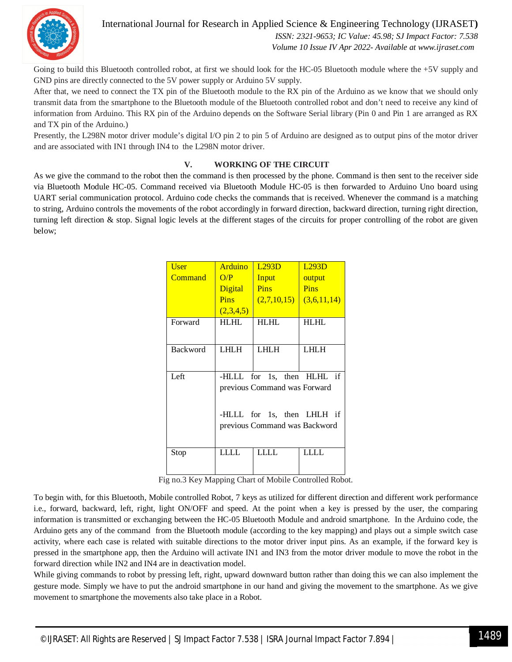

International Journal for Research in Applied Science & Engineering Technology (IJRASET**)**

 *ISSN: 2321-9653; IC Value: 45.98; SJ Impact Factor: 7.538 Volume 10 Issue IV Apr 2022- Available at www.ijraset.com*

Going to build this Bluetooth controlled robot, at first we should look for the HC-05 Bluetooth module where the +5V supply and GND pins are directly connected to the 5V power supply or Arduino 5V supply.

After that, we need to connect the TX pin of the Bluetooth module to the RX pin of the Arduino as we know that we should only transmit data from the smartphone to the Bluetooth module of the Bluetooth controlled robot and don't need to receive any kind of information from Arduino. This RX pin of the Arduino depends on the Software Serial library (Pin 0 and Pin 1 are arranged as RX and TX pin of the Arduino.)

Presently, the L298N motor driver module's digital I/O pin 2 to pin 5 of Arduino are designed as to output pins of the motor driver and are associated with IN1 through IN4 to the L298N motor driver.

#### **V. WORKING OF THE CIRCUIT**

As we give the command to the robot then the command is then processed by the phone. Command is then sent to the receiver side via Bluetooth Module HC-05. Command received via Bluetooth Module HC-05 is then forwarded to Arduino Uno board using UART serial communication protocol. Arduino code checks the commands that is received. Whenever the command is a matching to string, Arduino controls the movements of the robot accordingly in forward direction, backward direction, turning right direction, turning left direction & stop. Signal logic levels at the different stages of the circuits for proper controlling of the robot are given below;

| <b>User</b> | Arduino                       | L293D       | L293D       |
|-------------|-------------------------------|-------------|-------------|
| Command     | O/P                           | Input       | output      |
|             | Digital                       | Pins        | Pins        |
|             | <b>Pins</b>                   | (2,7,10,15) | (3,6,11,14) |
|             | (2,3,4,5)                     |             |             |
| Forward     | <b>HLHL</b>                   | <b>HLHL</b> | <b>HLHL</b> |
|             |                               |             |             |
| Backword    | LHLH                          | <b>LHLH</b> | <b>LHLH</b> |
|             |                               |             |             |
| Left        | -HLLL for 1s, then HLHL if    |             |             |
|             | previous Command was Forward  |             |             |
|             |                               |             |             |
|             | -HLLL for 1s, then LHLH if    |             |             |
|             | previous Command was Backword |             |             |
|             |                               |             |             |
| Stop        | LLLL                          | LLLL        | LLLL        |
|             |                               |             |             |

Fig no.3 Key Mapping Chart of Mobile Controlled Robot.

To begin with, for this Bluetooth, Mobile controlled Robot, 7 keys as utilized for different direction and different work performance i.e., forward, backward, left, right, light ON/OFF and speed. At the point when a key is pressed by the user, the comparing information is transmitted or exchanging between the HC-05 Bluetooth Module and android smartphone. In the Arduino code, the Arduino gets any of the command from the Bluetooth module (according to the key mapping) and plays out a simple switch case activity, where each case is related with suitable directions to the motor driver input pins. As an example, if the forward key is pressed in the smartphone app, then the Arduino will activate IN1 and IN3 from the motor driver module to move the robot in the forward direction while IN2 and IN4 are in deactivation model.

While giving commands to robot by pressing left, right, upward downward button rather than doing this we can also implement the gesture mode. Simply we have to put the android smartphone in our hand and giving the movement to the smartphone. As we give movement to smartphone the movements also take place in a Robot.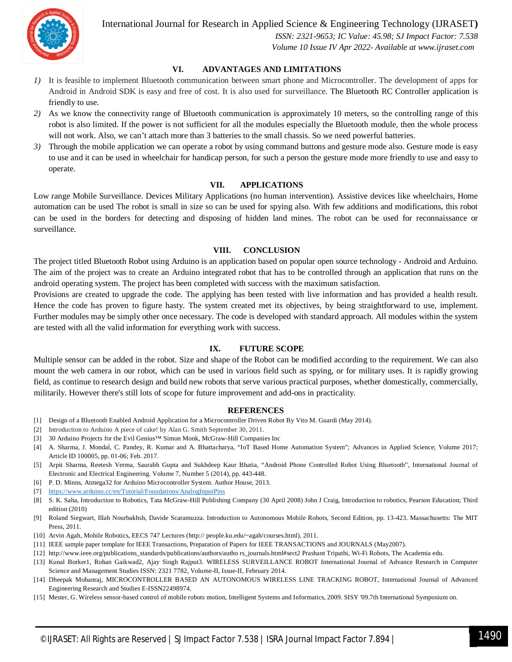

International Journal for Research in Applied Science & Engineering Technology (IJRASET**)**

 *ISSN: 2321-9653; IC Value: 45.98; SJ Impact Factor: 7.538 Volume 10 Issue IV Apr 2022- Available at www.ijraset.com*

#### **VI. ADVANTAGES AND LIMITATIONS**

- *1)* It is feasible to implement Bluetooth communication between smart phone and Microcontroller. The development of apps for Android in Android SDK is easy and free of cost. It is also used for surveillance. The Bluetooth RC Controller application is friendly to use.
- *2)* As we know the connectivity range of Bluetooth communication is approximately 10 meters, so the controlling range of this robot is also limited. If the power is not sufficient for all the modules especially the Bluetooth module, then the whole process will not work. Also, we can't attach more than 3 batteries to the small chassis. So we need powerful batteries.
- *3)* Through the mobile application we can operate a robot by using command buttons and gesture mode also. Gesture mode is easy to use and it can be used in wheelchair for handicap person, for such a person the gesture mode more friendly to use and easy to operate.

#### **VII. APPLICATIONS**

Low range Mobile Surveillance. Devices Military Applications (no human intervention). Assistive devices like wheelchairs, Home automation can be used The robot is small in size so can be used for spying also. With few additions and modifications, this robot can be used in the borders for detecting and disposing of hidden land mines. The robot can be used for reconnaissance or surveillance.

#### **VIII. CONCLUSION**

The project titled Bluetooth Robot using Arduino is an application based on popular open source technology - Android and Arduino. The aim of the project was to create an Arduino integrated robot that has to be controlled through an application that runs on the android operating system. The project has been completed with success with the maximum satisfaction.

Provisions are created to upgrade the code. The applying has been tested with live information and has provided a health result. Hence the code has proven to figure hasty. The system created met its objectives, by being straightforward to use, implement. Further modules may be simply other once necessary. The code is developed with standard approach. All modules within the system are tested with all the valid information for everything work with success.

#### **IX. FUTURE SCOPE**

Multiple sensor can be added in the robot. Size and shape of the Robot can be modified according to the requirement. We can also mount the web camera in our robot, which can be used in various field such as spying, or for military uses. It is rapidly growing field, as continue to research design and build new robots that serve various practical purposes, whether domestically, commercially, militarily. However there's still lots of scope for future improvement and add-ons in practicality.

#### **REFERENCES**

- [1] Design of a Bluetooth Enabled Android Application for a Microcontroller Driven Robot By Vito M. Guardi (May 2014).
- [2] Introduction to Arduino A piece of cake! by Alan G. Smith September 30, 2011.
- [3] 30 Arduino Projects for the Evil Genius™ Simon Monk, McGraw-Hill Companies Inc
- [4] A. Sharma, J. Mondal, C. Pandey, R. Kumar and A. Bhattacharya, "IoT Based Home Automation System"; Advances in Applied Science; Volume 2017; Article ID 100005, pp. 01-06; Feb. 2017.
- [5] Arpit Sharma, Reetesh Verma, Saurabh Gupta and Sukhdeep Kaur Bhatia, "Android Phone Controlled Robot Using Bluetooth", International Journal of Electronic and Electrical Engineering. Volume 7, Number 5 (2014), pp. 443-448.
- [6] P. D. Minns, Atmega32 for Arduino Microcontroller System. Author House, 2013.
- [7] https://www.arduino.cc/en/Tutorial/Foundations/AnalogInputPins
- [8] S. K. Saha, Introduction to Robotics, Tata McGraw-Hill Publishing Company (30 April 2008) John J Craig, Introduction to robotics, Pearson Education; Third edition (2010)
- [9] Roland Siegwart, Illah Nourbakhsh, Davide Scaramuzza. Introduction to Autonomous Mobile Robots, Second Edition, pp. 13-423. Massachusetts: The MIT Press, 2011.
- [10] Arvin Agah, Mobile Robotics, EECS 747 Lectures (http:// people.ku.edu/~agah/courses.html), 2011.
- [11] IEEE sample paper template for IEEE Transactions, Preparation of Papers for IEEE TRANSACTIONS and JOURNALS (May2007).
- [12] http://www.ieee.org/publications\_standards/publications/authors/autho rs\_journals.html#sect2 Prashant Tripathi, Wi-Fi Robots, The Academia edu.
- [13] Kunal Borker1, Rohan Gaikwad2, Ajay Singh Rajput3. WIRELESS SURVEILLANCE ROBOT International Journal of Advance Research in Computer Science and Management Studies ISSN: 2321 7782, Volume-II, Issue-II, February 2014.
- [14] Dheepak Mohanraj, MICROCONTROLLER BASED AN AUTONOMOUS WIRELESS LINE TRACKING ROBOT, International Journal of Advanced Engineering Research and Studies E-ISSN22498974.
- [15] Mester, G. Wireless sensor-based control of mobile robots motion, Intelligent Systems and Informatics, 2009. SISY '09.7th International Symposium on.